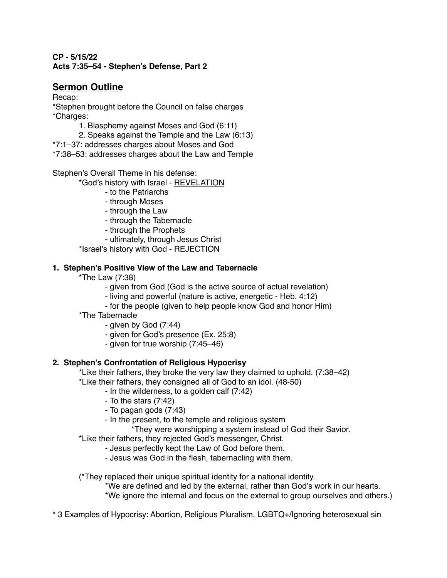## **CP - 5/15/22 Acts 7:35–54 - Stephen's Defense, Part 2**

# **Sermon Outline**

Recap:

\*Stephen brought before the Council on false charges \*Charges:

- 1. Blasphemy against Moses and God (6:11)
- 2. Speaks against the Temple and the Law (6:13)

\*7:1–37: addresses charges about Moses and God

\*7:38–53: addresses charges about the Law and Temple

Stephen's Overall Theme in his defense:

\*God's history with Israel - REVELATION

- to the Patriarchs
- through Moses
- through the Law
- through the Tabernacle
- through the Prophets
- ultimately, through Jesus Christ

\*Israel's history with God - REJECTION

## **1. Stephen's Positive View of the Law and Tabernacle**

\*The Law (7:38)

- given from God (God is the active source of actual revelation)
- living and powerful (nature is active, energetic Heb. 4:12)
- for the people (given to help people know God and honor Him)
- \*The Tabernacle
	- given by God (7:44)
	- given for God's presence (Ex. 25:8)
	- given for true worship (7:45–46)

## **2. Stephen's Confrontation of Religious Hypocrisy**

\*Like their fathers, they broke the very law they claimed to uphold. (7:38–42)

\*Like their fathers, they consigned all of God to an idol. (48-50)

- In the wilderness, to a golden calf (7:42)
- To the stars (7:42)
- To pagan gods (7:43)
- In the present, to the temple and religious system

\*They were worshipping a system instead of God their Savior.

- \*Like their fathers, they rejected God's messenger, Christ.
	- Jesus perfectly kept the Law of God before them.
	- Jesus was God in the flesh, tabernacling with them.

(\*They replaced their unique spiritual identity for a national identity.

\*We are defined and led by the external, rather than God's work in our hearts. \*We ignore the internal and focus on the external to group ourselves and others.)

\* 3 Examples of Hypocrisy: Abortion, Religious Pluralism, LGBTQ+/Ignoring heterosexual sin